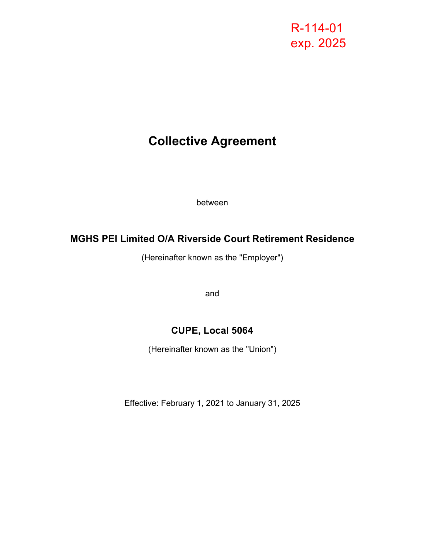# R-114-01 exp. 2025

# **Collective Agreement**

between

## **MGHS PEI Limited O/A Riverside Court Retirement Residence**

(Hereinafter known as the "Employer")

and

## **CUPE, Local 5064**

(Hereinafter known as the "Union")

Effective: February 1, 2021 to January 31, 2025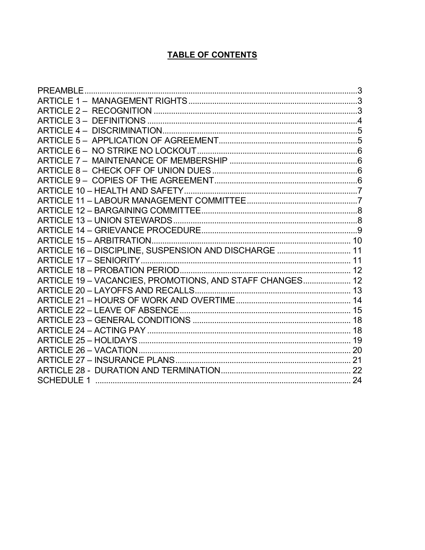### **TABLE OF CONTENTS**

| <b>PREAMBLE</b>                                          |  |
|----------------------------------------------------------|--|
|                                                          |  |
|                                                          |  |
|                                                          |  |
|                                                          |  |
|                                                          |  |
|                                                          |  |
|                                                          |  |
|                                                          |  |
|                                                          |  |
|                                                          |  |
|                                                          |  |
|                                                          |  |
|                                                          |  |
|                                                          |  |
|                                                          |  |
| ARTICLE 16 - DISCIPLINE, SUSPENSION AND DISCHARGE  11    |  |
|                                                          |  |
|                                                          |  |
| ARTICLE 19 - VACANCIES, PROMOTIONS, AND STAFF CHANGES 12 |  |
|                                                          |  |
|                                                          |  |
|                                                          |  |
|                                                          |  |
|                                                          |  |
|                                                          |  |
|                                                          |  |
|                                                          |  |
|                                                          |  |
|                                                          |  |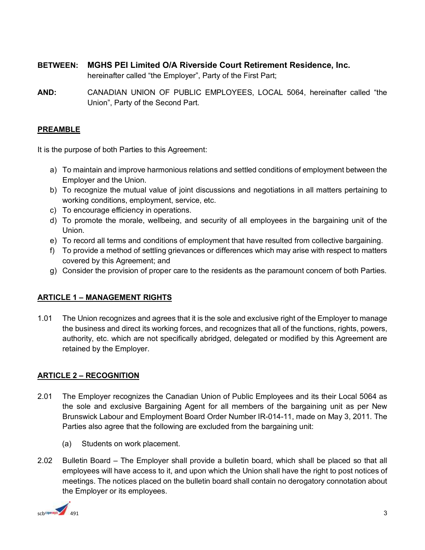- **BETWEEN: MGHS PEI Limited O/A Riverside Court Retirement Residence, Inc.** hereinafter called "the Employer", Party of the First Part;
- **AND:** CANADIAN UNION OF PUBLIC EMPLOYEES, LOCAL 5064, hereinafter called "the Union", Party of the Second Part.

#### <span id="page-2-0"></span>**PREAMBLE**

It is the purpose of both Parties to this Agreement:

- a) To maintain and improve harmonious relations and settled conditions of employment between the Employer and the Union.
- b) To recognize the mutual value of joint discussions and negotiations in all matters pertaining to working conditions, employment, service, etc.
- c) To encourage efficiency in operations.
- d) To promote the morale, wellbeing, and security of all employees in the bargaining unit of the Union.
- e) To record all terms and conditions of employment that have resulted from collective bargaining.
- f) To provide a method of settling grievances or differences which may arise with respect to matters covered by this Agreement; and
- g) Consider the provision of proper care to the residents as the paramount concern of both Parties.

#### <span id="page-2-1"></span>**ARTICLE 1 – MANAGEMENT RIGHTS**

1.01 The Union recognizes and agrees that it is the sole and exclusive right of the Employer to manage the business and direct its working forces, and recognizes that all of the functions, rights, powers, authority, etc. which are not specifically abridged, delegated or modified by this Agreement are retained by the Employer.

#### <span id="page-2-2"></span>**ARTICLE 2 – RECOGNITION**

- 2.01 The Employer recognizes the Canadian Union of Public Employees and its their Local 5064 as the sole and exclusive Bargaining Agent for all members of the bargaining unit as per New Brunswick Labour and Employment Board Order Number IR-014-11, made on May 3, 2011. The Parties also agree that the following are excluded from the bargaining unit:
	- (a) Students on work placement.
- 2.02 Bulletin Board The Employer shall provide a bulletin board, which shall be placed so that all employees will have access to it, and upon which the Union shall have the right to post notices of meetings. The notices placed on the bulletin board shall contain no derogatory connotation about the Employer or its employees.

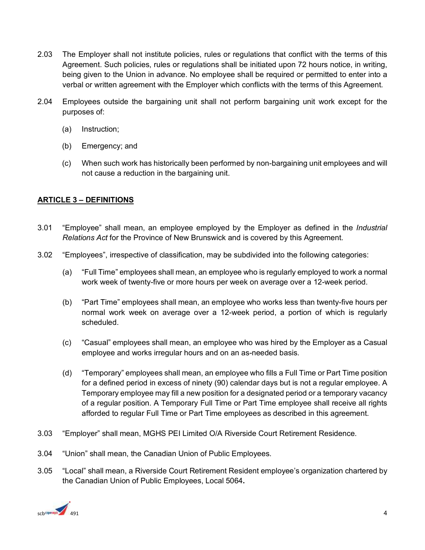- 2.03 The Employer shall not institute policies, rules or regulations that conflict with the terms of this Agreement. Such policies, rules or regulations shall be initiated upon 72 hours notice, in writing, being given to the Union in advance. No employee shall be required or permitted to enter into a verbal or written agreement with the Employer which conflicts with the terms of this Agreement.
- 2.04Employees outside the bargaining unit shall not perform bargaining unit work except for the purposes of:
	- (a) Instruction;
	- (b) Emergency; and
	- (c) When such work has historically been performed by non-bargaining unit employees and will not cause a reduction in the bargaining unit.

#### <span id="page-3-0"></span>**ARTICLE 3 – DEFINITIONS**

- 3.01 "Employee" shall mean, an employee employed by the Employer as defined in the *Industrial Relations Act* for the Province of New Brunswick and is covered by this Agreement.
- 3.02 "Employees", irrespective of classification, may be subdivided into the following categories:
	- (a) "Full Time" employees shall mean, an employee who is regularly employed to work a normal work week of twenty-five or more hours per week on average over a 12-week period.
	- (b) "Part Time" employees shall mean, an employee who works less than twenty-five hours per normal work week on average over a 12-week period, a portion of which is regularly scheduled.
	- (c) "Casual" employees shall mean, an employee who was hired by the Employer as a Casual employee and works irregular hours and on an as-needed basis.
	- (d) "Temporary" employees shall mean, an employee who fills a Full Time or Part Time position for a defined period in excess of ninety (90) calendar days but is not a regular employee. A Temporary employee may fill a new position for a designated period or a temporary vacancy of a regular position. A Temporary Full Time or Part Time employee shall receive all rights afforded to regular Full Time or Part Time employees as described in this agreement.
- 3.03 "Employer" shall mean, MGHS PEI Limited O/A Riverside Court Retirement Residence.
- 3.04 "Union" shall mean, the Canadian Union of Public Employees.
- 3.05 "Local" shall mean, a Riverside Court Retirement Resident employee's organization chartered by the Canadian Union of Public Employees, Local 5064**.**

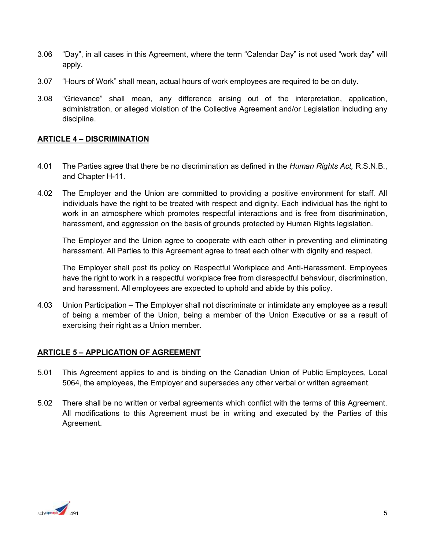- 3.06 "Day", in all cases in this Agreement, where the term "Calendar Day" is not used "work day" will apply.
- 3.07 "Hours of Work" shall mean, actual hours of work employees are required to be on duty.
- 3.08 "Grievance" shall mean, any difference arising out of the interpretation, application, administration, or alleged violation of the Collective Agreement and/or Legislation including any discipline.

#### <span id="page-4-0"></span>**ARTICLE 4 – DISCRIMINATION**

- 4.01 The Parties agree that there be no discrimination as defined in the *Human Rights Act,* R.S.N.B., and Chapter H-11.
- 4.02 The Employer and the Union are committed to providing a positive environment for staff. All individuals have the right to be treated with respect and dignity. Each individual has the right to work in an atmosphere which promotes respectful interactions and is free from discrimination, harassment, and aggression on the basis of grounds protected by Human Rights legislation.

The Employer and the Union agree to cooperate with each other in preventing and eliminating harassment. All Parties to this Agreement agree to treat each other with dignity and respect.

The Employer shall post its policy on Respectful Workplace and Anti-Harassment. Employees have the right to work in a respectful workplace free from disrespectful behaviour, discrimination, and harassment. All employees are expected to uphold and abide by this policy.

4.03 Union Participation – The Employer shall not discriminate or intimidate any employee as a result of being a member of the Union, being a member of the Union Executive or as a result of exercising their right as a Union member.

#### <span id="page-4-1"></span>**ARTICLE 5 – APPLICATION OF AGREEMENT**

- 5.01 This Agreement applies to and is binding on the Canadian Union of Public Employees, Local 5064, the employees, the Employer and supersedes any other verbal or written agreement.
- 5.02There shall be no written or verbal agreements which conflict with the terms of this Agreement. All modifications to this Agreement must be in writing and executed by the Parties of this Agreement.

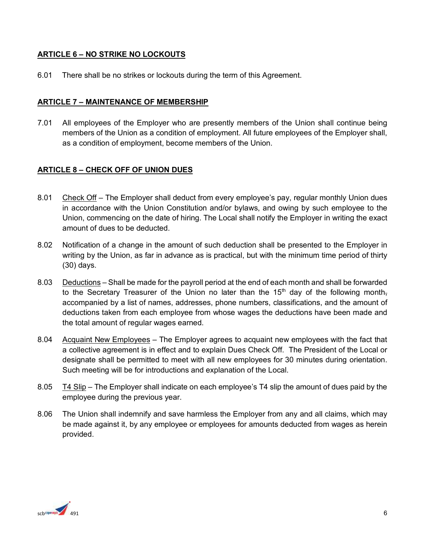#### **ARTICLE 6 – NO STRIKE NO LOCKOUTS**

6.01There shall be no strikes or lockouts during the term of this Agreement.

#### <span id="page-5-0"></span>**ARTICLE 7 – MAINTENANCE OF MEMBERSHIP**

7.01All employees of the Employer who are presently members of the Union shall continue being members of the Union as a condition of employment. All future employees of the Employer shall, as a condition of employment, become members of the Union.

#### <span id="page-5-1"></span>**ARTICLE 8 – CHECK OFF OF UNION DUES**

- 8.01 Check Off The Employer shall deduct from every employee's pay, regular monthly Union dues in accordance with the Union Constitution and/or bylaws, and owing by such employee to the Union, commencing on the date of hiring. The Local shall notify the Employer in writing the exact amount of dues to be deducted.
- 8.02 Notification of a change in the amount of such deduction shall be presented to the Employer in writing by the Union, as far in advance as is practical, but with the minimum time period of thirty (30) days.
- 8.03 Deductions Shall be made for the payroll period at the end of each month and shall be forwarded to the Secretary Treasurer of the Union no later than the 15<sup>th</sup> day of the following monthaccompanied by a list of names, addresses, phone numbers, classifications, and the amount of deductions taken from each employee from whose wages the deductions have been made and the total amount of regular wages earned.
- 8.04 Acquaint New Employees The Employer agrees to acquaint new employees with the fact that a collective agreement is in effect and to explain Dues Check Off. The President of the Local or designate shall be permitted to meet with all new employees for 30 minutes during orientation. Such meeting will be for introductions and explanation of the Local.
- 8.05 T4 Slip The Employer shall indicate on each employee's T4 slip the amount of dues paid by the employee during the previous year.
- 8.06 The Union shall indemnify and save harmless the Employer from any and all claims, which may be made against it, by any employee or employees for amounts deducted from wages as herein provided.

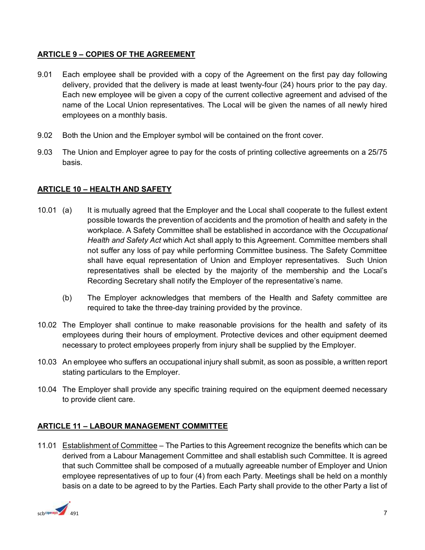#### <span id="page-6-0"></span>**ARTICLE 9 – COPIES OF THE AGREEMENT**

- 9.01 Each employee shall be provided with a copy of the Agreement on the first pay day following delivery, provided that the delivery is made at least twenty-four (24) hours prior to the pay day. Each new employee will be given a copy of the current collective agreement and advised of the name of the Local Union representatives. The Local will be given the names of all newly hired employees on a monthly basis.
- 9.02 Both the Union and the Employer symbol will be contained on the front cover.
- 9.03The Union and Employer agree to pay for the costs of printing collective agreements on a 25/75 basis.

#### <span id="page-6-1"></span>**ARTICLE 10 – HEALTH AND SAFETY**

- 10.01 (a) It is mutually agreed that the Employer and the Local shall cooperate to the fullest extent possible towards the prevention of accidents and the promotion of health and safety in the workplace. A Safety Committee shall be established in accordance with the *Occupational Health and Safety Act* which Act shall apply to this Agreement. Committee members shall not suffer any loss of pay while performing Committee business. The Safety Committee shall have equal representation of Union and Employer representatives. Such Union representatives shall be elected by the majority of the membership and the Local's Recording Secretary shall notify the Employer of the representative's name.
	- (b) The Employer acknowledges that members of the Health and Safety committee are required to take the three-day training provided by the province.
- 10.02 The Employer shall continue to make reasonable provisions for the health and safety of its employees during their hours of employment. Protective devices and other equipment deemed necessary to protect employees properly from injury shall be supplied by the Employer.
- 10.03An employee who suffers an occupational injury shall submit, as soon as possible, a written report stating particulars to the Employer.
- 10.04 The Employer shall provide any specific training required on the equipment deemed necessary to provide client care.

#### <span id="page-6-2"></span>**ARTICLE 11 – LABOUR MANAGEMENT COMMITTEE**

11.01 Establishment of Committee – The Parties to this Agreement recognize the benefits which can be derived from a Labour Management Committee and shall establish such Committee. It is agreed that such Committee shall be composed of a mutually agreeable number of Employer and Union employee representatives of up to four (4) from each Party. Meetings shall be held on a monthly basis on a date to be agreed to by the Parties. Each Party shall provide to the other Party a list of

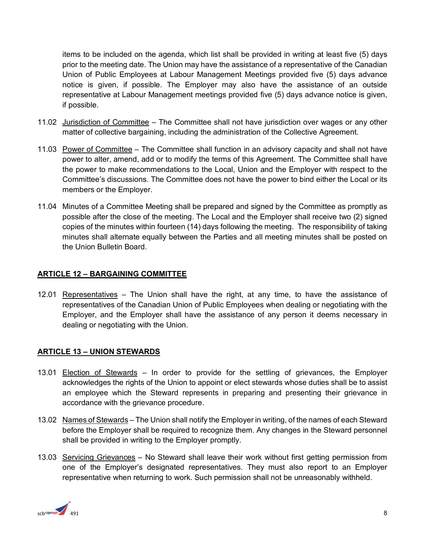items to be included on the agenda, which list shall be provided in writing at least five (5) days prior to the meeting date. The Union may have the assistance of a representative of the Canadian Union of Public Employees at Labour Management Meetings provided five (5) days advance notice is given, if possible. The Employer may also have the assistance of an outside representative at Labour Management meetings provided five (5) days advance notice is given, if possible.

- 11.02 Jurisdiction of Committee The Committee shall not have jurisdiction over wages or any other matter of collective bargaining, including the administration of the Collective Agreement.
- 11.03 Power of Committee The Committee shall function in an advisory capacity and shall not have power to alter, amend, add or to modify the terms of this Agreement. The Committee shall have the power to make recommendations to the Local, Union and the Employer with respect to the Committee's discussions. The Committee does not have the power to bind either the Local or its members or the Employer.
- 11.04 Minutes of a Committee Meeting shall be prepared and signed by the Committee as promptly as possible after the close of the meeting. The Local and the Employer shall receive two (2) signed copies of the minutes within fourteen (14) days following the meeting. The responsibility of taking minutes shall alternate equally between the Parties and all meeting minutes shall be posted on the Union Bulletin Board.

#### <span id="page-7-0"></span>**ARTICLE 12 – BARGAINING COMMITTEE**

12.01 Representatives – The Union shall have the right, at any time, to have the assistance of representatives of the Canadian Union of Public Employees when dealing or negotiating with the Employer, and the Employer shall have the assistance of any person it deems necessary in dealing or negotiating with the Union.

#### <span id="page-7-1"></span>**ARTICLE 13 – UNION STEWARDS**

- 13.01 Election of Stewards In order to provide for the settling of grievances, the Employer acknowledges the rights of the Union to appoint or elect stewards whose duties shall be to assist an employee which the Steward represents in preparing and presenting their grievance in accordance with the grievance procedure.
- 13.02 Names of Stewards The Union shall notify the Employer in writing, of the names of each Steward before the Employer shall be required to recognize them. Any changes in the Steward personnel shall be provided in writing to the Employer promptly.
- 13.03 Servicing Grievances No Steward shall leave their work without first getting permission from one of the Employer's designated representatives. They must also report to an Employer representative when returning to work. Such permission shall not be unreasonably withheld.

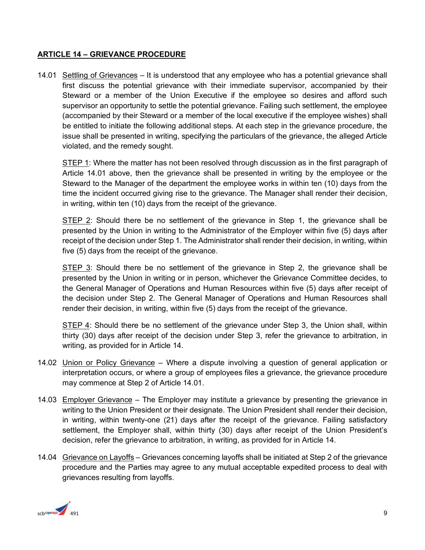#### <span id="page-8-0"></span>**ARTICLE 14 – GRIEVANCE PROCEDURE**

14.01 Settling of Grievances – It is understood that any employee who has a potential grievance shall first discuss the potential grievance with their immediate supervisor, accompanied by their Steward or a member of the Union Executive if the employee so desires and afford such supervisor an opportunity to settle the potential grievance. Failing such settlement, the employee (accompanied by their Steward or a member of the local executive if the employee wishes) shall be entitled to initiate the following additional steps. At each step in the grievance procedure, the issue shall be presented in writing, specifying the particulars of the grievance, the alleged Article violated, and the remedy sought.

STEP 1: Where the matter has not been resolved through discussion as in the first paragraph of Article 14.01 above, then the grievance shall be presented in writing by the employee or the Steward to the Manager of the department the employee works in within ten (10) days from the time the incident occurred giving rise to the grievance. The Manager shall render their decision, in writing, within ten (10) days from the receipt of the grievance.

STEP 2: Should there be no settlement of the grievance in Step 1, the grievance shall be presented by the Union in writing to the Administrator of the Employer within five (5) days after receipt of the decision under Step 1. The Administrator shall render their decision, in writing, within five (5) days from the receipt of the grievance.

STEP 3: Should there be no settlement of the grievance in Step 2, the grievance shall be presented by the Union in writing or in person, whichever the Grievance Committee decides, to the General Manager of Operations and Human Resources within five (5) days after receipt of the decision under Step 2. The General Manager of Operations and Human Resources shall render their decision, in writing, within five (5) days from the receipt of the grievance.

STEP 4: Should there be no settlement of the grievance under Step 3, the Union shall, within thirty (30) days after receipt of the decision under Step 3, refer the grievance to arbitration, in writing, as provided for in Article 14.

- 14.02 Union or Policy Grievance Where a dispute involving a question of general application or interpretation occurs, or where a group of employees files a grievance, the grievance procedure may commence at Step 2 of Article 14.01.
- 14.03 Employer Grievance The Employer may institute a grievance by presenting the grievance in writing to the Union President or their designate. The Union President shall render their decision, in writing, within twenty-one (21) days after the receipt of the grievance. Failing satisfactory settlement, the Employer shall, within thirty (30) days after receipt of the Union President's decision, refer the grievance to arbitration, in writing, as provided for in Article 14.
- 14.04 Grievance on Layoffs Grievances concerning layoffs shall be initiated at Step 2 of the grievance procedure and the Parties may agree to any mutual acceptable expedited process to deal with grievances resulting from layoffs.

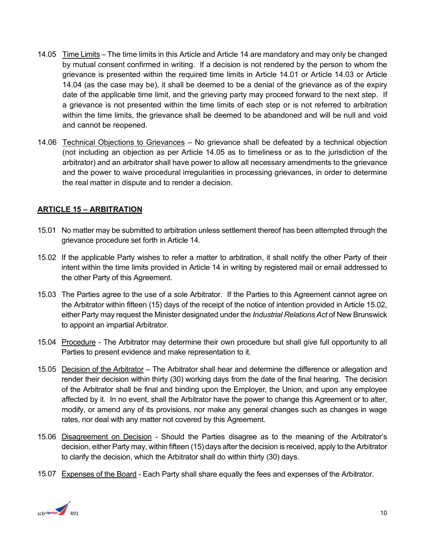- 14.05 Time Limits The time limits in this Article and Article 14 are mandatory and may only be changed by mutual consent confirmed in writing. If a decision is not rendered by the person to whom the grievance is presented within the required time limits in Article 14.01 or Article 14.03 or Article 14.04 (as the case may be), it shall be deemed to be a denial of the grievance as of the expiry date of the applicable time limit, and the grieving party may proceed forward to the next step. If a grievance is not presented within the time limits of each step or is not referred to arbitration within the time limits, the grievance shall be deemed to be abandoned and will be null and void and cannot be reopened.
- 14.06 Technical Objections to Grievances No grievance shall be defeated by a technical objection (not including an objection as per Article 14.05 as to timeliness or as to the jurisdiction of the arbitrator) and an arbitrator shall have power to allow all necessary amendments to the grievance and the power to waive procedural irregularities in processing grievances, in order to determine the real matter in dispute and to render a decision.

#### <span id="page-9-0"></span>**ARTICLE 15 – ARBITRATION**

- 15.01 No matter may be submitted to arbitration unless settlement thereof has been attempted through the grievance procedure set forth in Article 14.
- 15.02 If the applicable Party wishes to refer a matter to arbitration, it shall notify the other Party of their intent within the time limits provided in Article 14 in writing by registered mail or email addressed to the other Party of this Agreement.
- 15.03 The Parties agree to the use of a sole Arbitrator. If the Parties to this Agreement cannot agree on the Arbitrator within fifteen (15) days of the receipt of the notice of intention provided in Article 15.02, either Party may request the Minister designated under the *Industrial Relations Act* of New Brunswick to appoint an impartial Arbitrator.
- 15.04 Procedure The Arbitrator may determine their own procedure but shall give full opportunity to all Parties to present evidence and make representation to it.
- 15.05 Decision of the Arbitrator The Arbitrator shall hear and determine the difference or allegation and render their decision within thirty (30) working days from the date of the final hearing. The decision of the Arbitrator shall be final and binding upon the Employer, the Union, and upon any employee affected by it. In no event, shall the Arbitrator have the power to change this Agreement or to alter, modify, or amend any of its provisions, nor make any general changes such as changes in wage rates, nor deal with any matter not covered by this Agreement.
- 15.06 Disagreement on Decision Should the Parties disagree as to the meaning of the Arbitrator's decision, either Party may, within fifteen (15) days after the decision is received, apply to the Arbitrator to clarify the decision, which the Arbitrator shall do within thirty (30) days.
- 15.07 Expenses of the Board Each Party shall share equally the fees and expenses of the Arbitrator.

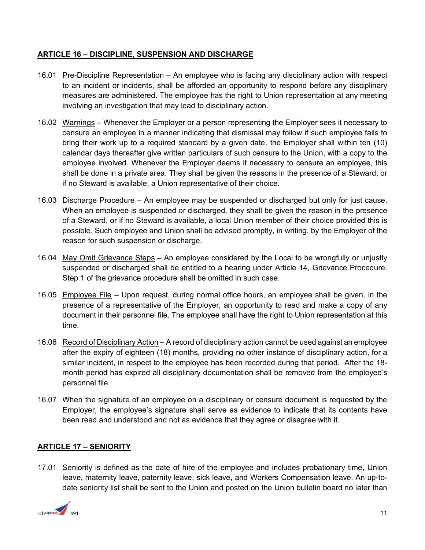#### <span id="page-10-0"></span>**ARTICLE 16 – DISCIPLINE, SUSPENSION AND DISCHARGE**

- 16.01 Pre-Discipline Representation An employee who is facing any disciplinary action with respect to an incident or incidents, shall be afforded an opportunity to respond before any disciplinary measures are administered. The employee has the right to Union representation at any meeting involving an investigation that may lead to disciplinary action.
- 16.02 Warnings Whenever the Employer or a person representing the Employer sees it necessary to censure an employee in a manner indicating that dismissal may follow if such employee fails to bring their work up to a required standard by a given date, the Employer shall within ten (10) calendar days thereafter give written particulars of such censure to the Union, with a copy to the employee involved. Whenever the Employer deems it necessary to censure an employee, this shall be done in a private area. They shall be given the reasons in the presence of a Steward, or if no Steward is available, a Union representative of their choice.
- 16.03 Discharge Procedure An employee may be suspended or discharged but only for just cause. When an employee is suspended or discharged, they shall be given the reason in the presence of a Steward, or if no Steward is available, a local Union member of their choice provided this is possible. Such employee and Union shall be advised promptly, in writing, by the Employer of the reason for such suspension or discharge.
- 16.04 May Omit Grievance Steps An employee considered by the Local to be wrongfully or unjustly suspended or discharged shall be entitled to a hearing under Article 14, Grievance Procedure. Step 1 of the grievance procedure shall be omitted in such case.
- 16.05 Employee File Upon request, during normal office hours, an employee shall be given, in the presence of a representative of the Employer, an opportunity to read and make a copy of any document in their personnel file. The employee shall have the right to Union representation at this time.
- 16.06 Record of Disciplinary Action A record of disciplinary action cannot be used against an employee after the expiry of eighteen (18) months, providing no other instance of disciplinary action, for a similar incident, in respect to the employee has been recorded during that period. After the 18 month period has expired all disciplinary documentation shall be removed from the employee's personnel file.
- 16.07 When the signature of an employee on a disciplinary or censure document is requested by the Employer, the employee's signature shall serve as evidence to indicate that its contents have been read and understood and not as evidence that they agree or disagree with it.

#### <span id="page-10-1"></span>**ARTICLE 17 – SENIORITY**

17.01 Seniority is defined as the date of hire of the employee and includes probationary time, Union leave, maternity leave, paternity leave, sick leave, and Workers Compensation leave. An up-todate seniority list shall be sent to the Union and posted on the Union bulletin board no later than

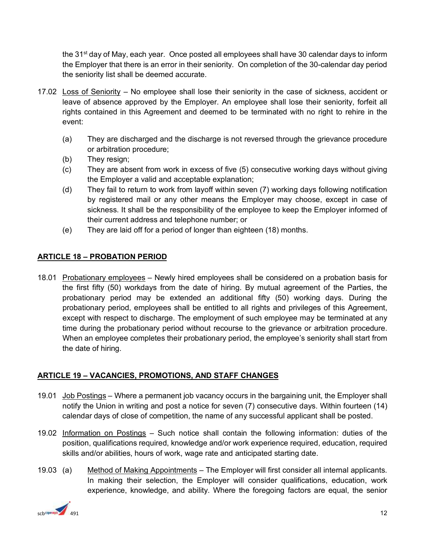the 31<sup>st</sup> day of May, each year. Once posted all employees shall have 30 calendar days to inform the Employer that there is an error in their seniority. On completion of the 30-calendar day period the seniority list shall be deemed accurate.

- 17.02 Loss of Seniority No employee shall lose their seniority in the case of sickness, accident or leave of absence approved by the Employer. An employee shall lose their seniority, forfeit all rights contained in this Agreement and deemed to be terminated with no right to rehire in the event:
	- (a) They are discharged and the discharge is not reversed through the grievance procedure or arbitration procedure;
	- (b) They resign;
	- (c) They are absent from work in excess of five (5) consecutive working days without giving the Employer a valid and acceptable explanation;
	- (d) They fail to return to work from layoff within seven (7) working days following notification by registered mail or any other means the Employer may choose, except in case of sickness. It shall be the responsibility of the employee to keep the Employer informed of their current address and telephone number; or
	- (e) They are laid off for a period of longer than eighteen (18) months.

#### <span id="page-11-0"></span>**ARTICLE 18 – PROBATION PERIOD**

18.01 Probationary employees – Newly hired employees shall be considered on a probation basis for the first fifty (50) workdays from the date of hiring. By mutual agreement of the Parties, the probationary period may be extended an additional fifty (50) working days. During the probationary period, employees shall be entitled to all rights and privileges of this Agreement, except with respect to discharge. The employment of such employee may be terminated at any time during the probationary period without recourse to the grievance or arbitration procedure. When an employee completes their probationary period, the employee's seniority shall start from the date of hiring.

#### <span id="page-11-1"></span>**ARTICLE 19 – VACANCIES, PROMOTIONS, AND STAFF CHANGES**

- 19.01 Job Postings Where a permanent job vacancy occurs in the bargaining unit, the Employer shall notify the Union in writing and post a notice for seven (7) consecutive days. Within fourteen (14) calendar days of close of competition, the name of any successful applicant shall be posted.
- 19.02 Information on Postings Such notice shall contain the following information: duties of the position, qualifications required, knowledge and/or work experience required, education, required skills and/or abilities, hours of work, wage rate and anticipated starting date.
- 19.03 (a) Method of Making Appointments The Employer will first consider all internal applicants. In making their selection, the Employer will consider qualifications, education, work experience, knowledge, and ability. Where the foregoing factors are equal, the senior

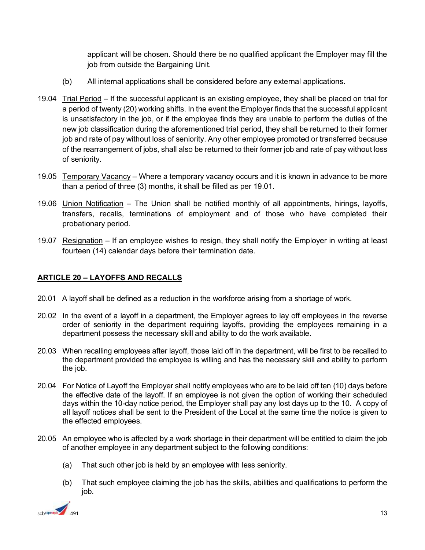applicant will be chosen. Should there be no qualified applicant the Employer may fill the job from outside the Bargaining Unit.

- (b) All internal applications shall be considered before any external applications.
- 19.04 Trial Period If the successful applicant is an existing employee, they shall be placed on trial for a period of twenty (20) working shifts. In the event the Employer finds that the successful applicant is unsatisfactory in the job, or if the employee finds they are unable to perform the duties of the new job classification during the aforementioned trial period, they shall be returned to their former job and rate of pay without loss of seniority. Any other employee promoted or transferred because of the rearrangement of jobs, shall also be returned to their former job and rate of pay without loss of seniority.
- 19.05 Temporary Vacancy Where a temporary vacancy occurs and it is known in advance to be more than a period of three (3) months, it shall be filled as per 19.01.
- 19.06 Union Notification The Union shall be notified monthly of all appointments, hirings, layoffs, transfers, recalls, terminations of employment and of those who have completed their probationary period.
- 19.07 Resignation If an employee wishes to resign, they shall notify the Employer in writing at least fourteen (14) calendar days before their termination date.

#### <span id="page-12-0"></span>**ARTICLE 20 – LAYOFFS AND RECALLS**

- 20.01 A layoff shall be defined as a reduction in the workforce arising from a shortage of work.
- 20.02In the event of a layoff in a department, the Employer agrees to lay off employees in the reverse order of seniority in the department requiring layoffs, providing the employees remaining in a department possess the necessary skill and ability to do the work available.
- 20.03 When recalling employees after layoff, those laid off in the department, will be first to be recalled to the department provided the employee is willing and has the necessary skill and ability to perform the job.
- 20.04 For Notice of Layoff the Employer shall notify employees who are to be laid off ten (10) days before the effective date of the layoff. If an employee is not given the option of working their scheduled days within the 10-day notice period, the Employer shall pay any lost days up to the 10. A copy of all layoff notices shall be sent to the President of the Local at the same time the notice is given to the effected employees.
- 20.05 An employee who is affected by a work shortage in their department will be entitled to claim the job of another employee in any department subject to the following conditions:
	- (a) That such other job is held by an employee with less seniority.
	- (b) That such employee claiming the job has the skills, abilities and qualifications to perform the job.

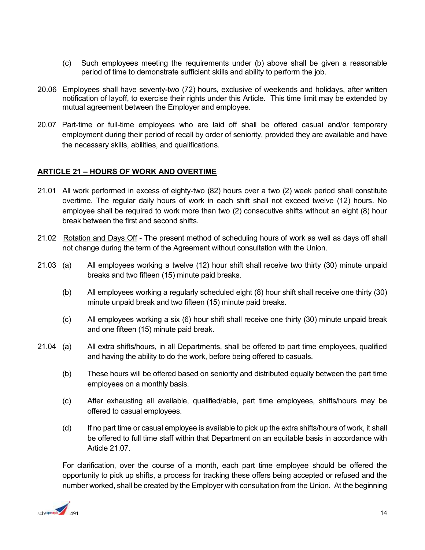- (c) Such employees meeting the requirements under (b) above shall be given a reasonable period of time to demonstrate sufficient skills and ability to perform the job.
- 20.06 Employees shall have seventy-two (72) hours, exclusive of weekends and holidays, after written notification of layoff, to exercise their rights under this Article. This time limit may be extended by mutual agreement between the Employer and employee.
- 20.07 Part-time or full-time employees who are laid off shall be offered casual and/or temporary employment during their period of recall by order of seniority, provided they are available and have the necessary skills, abilities, and qualifications.

#### <span id="page-13-0"></span>**ARTICLE 21 – HOURS OF WORK AND OVERTIME**

- 21.01 All work performed in excess of eighty-two (82) hours over a two (2) week period shall constitute overtime. The regular daily hours of work in each shift shall not exceed twelve (12) hours. No employee shall be required to work more than two (2) consecutive shifts without an eight (8) hour break between the first and second shifts.
- 21.02Rotation and Days Off The present method of scheduling hours of work as well as days off shall not change during the term of the Agreement without consultation with the Union.
- 21.03 (a) All employees working a twelve (12) hour shift shall receive two thirty (30) minute unpaid breaks and two fifteen (15) minute paid breaks.
	- (b) All employees working a regularly scheduled eight (8) hour shift shall receive one thirty (30) minute unpaid break and two fifteen (15) minute paid breaks.
	- (c) All employees working a six (6) hour shift shall receive one thirty (30) minute unpaid break and one fifteen (15) minute paid break.
- 21.04 (a) All extra shifts/hours, in all Departments, shall be offered to part time employees, qualified and having the ability to do the work, before being offered to casuals.
	- (b) These hours will be offered based on seniority and distributed equally between the part time employees on a monthly basis.
	- (c) After exhausting all available, qualified/able, part time employees, shifts/hours may be offered to casual employees.
	- (d) If no part time or casual employee is available to pick up the extra shifts/hours of work, it shall be offered to full time staff within that Department on an equitable basis in accordance with Article 21.07.

 For clarification, over the course of a month, each part time employee should be offered the opportunity to pick up shifts, a process for tracking these offers being accepted or refused and the number worked, shall be created by the Employer with consultation from the Union. At the beginning

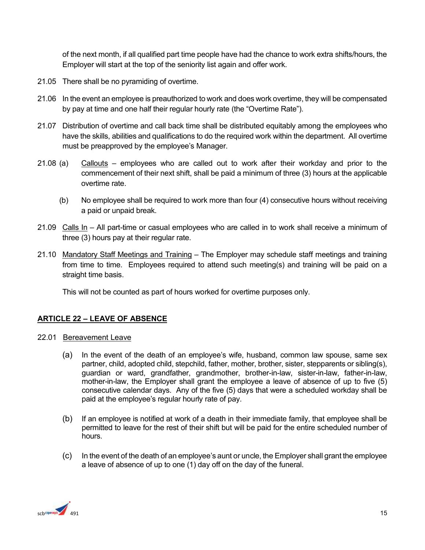of the next month, if all qualified part time people have had the chance to work extra shifts/hours, the Employer will start at the top of the seniority list again and offer work.

- 21.05 There shall be no pyramiding of overtime.
- 21.06 In the event an employee is preauthorized to work and does work overtime, they will be compensated by pay at time and one half their regular hourly rate (the "Overtime Rate").
- 21.07 Distribution of overtime and call back time shall be distributed equitably among the employees who have the skills, abilities and qualifications to do the required work within the department. All overtime must be preapproved by the employee's Manager.
- 21.08 (a) Callouts employees who are called out to work after their workday and prior to the commencement of their next shift, shall be paid a minimum of three (3) hours at the applicable overtime rate.
	- (b) No employee shall be required to work more than four (4) consecutive hours without receiving a paid or unpaid break.
- 21.09 Calls In All part-time or casual employees who are called in to work shall receive a minimum of three (3) hours pay at their regular rate.
- 21.10 Mandatory Staff Meetings and Training The Employer may schedule staff meetings and training from time to time. Employees required to attend such meeting(s) and training will be paid on a straight time basis.

This will not be counted as part of hours worked for overtime purposes only.

#### <span id="page-14-0"></span>**ARTICLE 22 – LEAVE OF ABSENCE**

- 22.01 Bereavement Leave
	- (a) In the event of the death of an employee's wife, husband, common law spouse, same sex partner, child, adopted child, stepchild, father, mother, brother, sister, stepparents or sibling(s), guardian or ward, grandfather, grandmother, brother-in-law, sister-in-law, father-in-law, mother-in-law, the Employer shall grant the employee a leave of absence of up to five (5) consecutive calendar days. Any of the five (5) days that were a scheduled workday shall be paid at the employee's regular hourly rate of pay.
	- (b) If an employee is notified at work of a death in their immediate family, that employee shall be permitted to leave for the rest of their shift but will be paid for the entire scheduled number of hours.
	- (c) In the event of the death of an employee's aunt or uncle, the Employer shall grant the employee a leave of absence of up to one (1) day off on the day of the funeral.

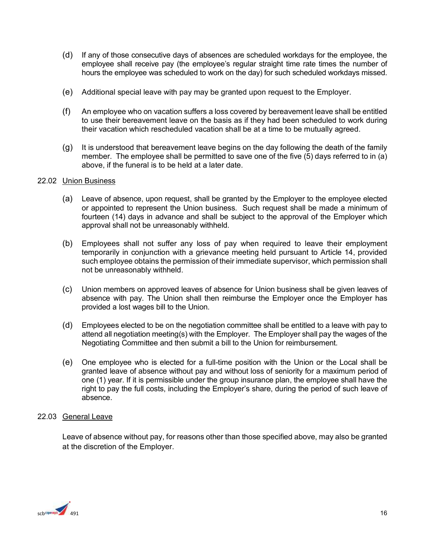- (d) If any of those consecutive days of absences are scheduled workdays for the employee, the employee shall receive pay (the employee's regular straight time rate times the number of hours the employee was scheduled to work on the day) for such scheduled workdays missed.
- (e) Additional special leave with pay may be granted upon request to the Employer.
- (f) An employee who on vacation suffers a loss covered by bereavement leave shall be entitled to use their bereavement leave on the basis as if they had been scheduled to work during their vacation which rescheduled vacation shall be at a time to be mutually agreed.
- (g) It is understood that bereavement leave begins on the day following the death of the family member. The employee shall be permitted to save one of the five (5) days referred to in (a) above, if the funeral is to be held at a later date.

#### 22.02 Union Business

- (a) Leave of absence, upon request, shall be granted by the Employer to the employee elected or appointed to represent the Union business. Such request shall be made a minimum of fourteen (14) days in advance and shall be subject to the approval of the Employer which approval shall not be unreasonably withheld.
- (b) Employees shall not suffer any loss of pay when required to leave their employment temporarily in conjunction with a grievance meeting held pursuant to Article 14, provided such employee obtains the permission of their immediate supervisor, which permission shall not be unreasonably withheld.
- (c) Union members on approved leaves of absence for Union business shall be given leaves of absence with pay. The Union shall then reimburse the Employer once the Employer has provided a lost wages bill to the Union.
- (d) Employees elected to be on the negotiation committee shall be entitled to a leave with pay to attend all negotiation meeting(s) with the Employer. The Employer shall pay the wages of the Negotiating Committee and then submit a bill to the Union for reimbursement.
- (e) One employee who is elected for a full-time position with the Union or the Local shall be granted leave of absence without pay and without loss of seniority for a maximum period of one (1) year. If it is permissible under the group insurance plan, the employee shall have the right to pay the full costs, including the Employer's share, during the period of such leave of absence.

#### 22.03 General Leave

Leave of absence without pay, for reasons other than those specified above, may also be granted at the discretion of the Employer.

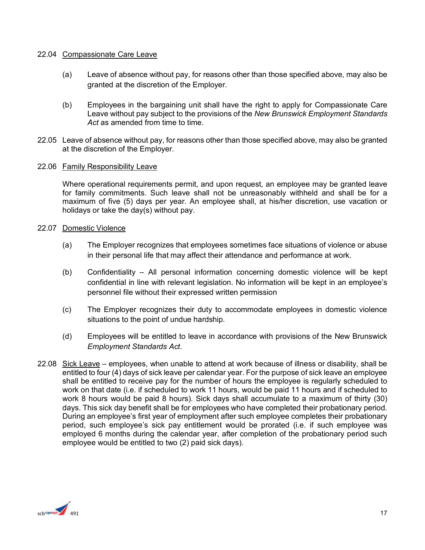#### 22.04 Compassionate Care Leave

- (a) Leave of absence without pay, for reasons other than those specified above, may also be granted at the discretion of the Employer.
- (b) Employees in the bargaining unit shall have the right to apply for Compassionate Care Leave without pay subject to the provisions of the *New Brunswick Employment Standards*  Act as amended from time to time.
- 22.05 Leave of absence without pay, for reasons other than those specified above, may also be granted at the discretion of the Employer.

#### 22.06 Family Responsibility Leave

Where operational requirements permit, and upon request, an employee may be granted leave for family commitments. Such leave shall not be unreasonably withheld and shall be for a maximum of five (5) days per year. An employee shall, at his/her discretion, use vacation or holidays or take the day(s) without pay.

#### 22.07 Domestic Violence

- (a) The Employer recognizes that employees sometimes face situations of violence or abuse in their personal life that may affect their attendance and performance at work.
- (b) Confidentiality All personal information concerning domestic violence will be kept confidential in line with relevant legislation. No information will be kept in an employee's personnel file without their expressed written permission
- (c) The Employer recognizes their duty to accommodate employees in domestic violence situations to the point of undue hardship.
- (d) Employees will be entitled to leave in accordance with provisions of the New Brunswick *Employment Standards Act*.
- 22.08 Sick Leave employees, when unable to attend at work because of illness or disability, shall be entitled to four (4) days of sick leave per calendar year. For the purpose of sick leave an employee shall be entitled to receive pay for the number of hours the employee is regularly scheduled to work on that date (i.e. if scheduled to work 11 hours, would be paid 11 hours and if scheduled to work 8 hours would be paid 8 hours). Sick days shall accumulate to a maximum of thirty (30) days. This sick day benefit shall be for employees who have completed their probationary period. During an employee's first year of employment after such employee completes their probationary period, such employee's sick pay entitlement would be prorated (i.e. if such employee was employed 6 months during the calendar year, after completion of the probationary period such employee would be entitled to two (2) paid sick days).

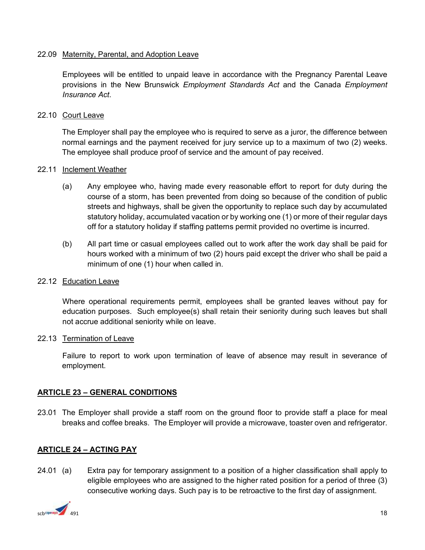#### 22.09 Maternity, Parental, and Adoption Leave

Employees will be entitled to unpaid leave in accordance with the Pregnancy Parental Leave provisions in the New Brunswick *Employment Standards Act* and the Canada *Employment Insurance Act*.

#### 22.10 Court Leave

The Employer shall pay the employee who is required to serve as a juror, the difference between normal earnings and the payment received for jury service up to a maximum of two (2) weeks. The employee shall produce proof of service and the amount of pay received.

#### 22.11 Inclement Weather

- (a) Any employee who, having made every reasonable effort to report for duty during the course of a storm, has been prevented from doing so because of the condition of public streets and highways, shall be given the opportunity to replace such day by accumulated statutory holiday, accumulated vacation or by working one (1) or more of their regular days off for a statutory holiday if staffing patterns permit provided no overtime is incurred.
- (b) All part time or casual employees called out to work after the work day shall be paid for hours worked with a minimum of two (2) hours paid except the driver who shall be paid a minimum of one (1) hour when called in.

#### 22.12 Education Leave

Where operational requirements permit, employees shall be granted leaves without pay for education purposes. Such employee(s) shall retain their seniority during such leaves but shall not accrue additional seniority while on leave.

#### 22.13 Termination of Leave

Failure to report to work upon termination of leave of absence may result in severance of employment.

#### <span id="page-17-0"></span>**ARTICLE 23 – GENERAL CONDITIONS**

23.01 The Employer shall provide a staff room on the ground floor to provide staff a place for meal breaks and coffee breaks. The Employer will provide a microwave, toaster oven and refrigerator.

#### <span id="page-17-1"></span>**ARTICLE 24 – ACTING PAY**

24.01 (a) Extra pay for temporary assignment to a position of a higher classification shall apply to eligible employees who are assigned to the higher rated position for a period of three (3) consecutive working days. Such pay is to be retroactive to the first day of assignment.

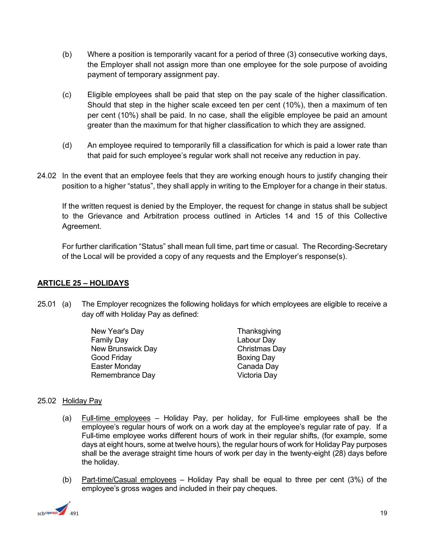- (b) Where a position is temporarily vacant for a period of three (3) consecutive working days, the Employer shall not assign more than one employee for the sole purpose of avoiding payment of temporary assignment pay.
- (c) Eligible employees shall be paid that step on the pay scale of the higher classification. Should that step in the higher scale exceed ten per cent (10%), then a maximum of ten per cent (10%) shall be paid. In no case, shall the eligible employee be paid an amount greater than the maximum for that higher classification to which they are assigned.
- (d) An employee required to temporarily fill a classification for which is paid a lower rate than that paid for such employee's regular work shall not receive any reduction in pay.
- 24.02 In the event that an employee feels that they are working enough hours to justify changing their position to a higher "status", they shall apply in writing to the Employer for a change in their status.

If the written request is denied by the Employer, the request for change in status shall be subject to the Grievance and Arbitration process outlined in Articles 14 and 15 of this Collective Agreement.

For further clarification "Status" shall mean full time, part time or casual. The Recording-Secretary of the Local will be provided a copy of any requests and the Employer's response(s).

#### <span id="page-18-0"></span>**ARTICLE 25 – HOLIDAYS**

25.01 (a) The Employer recognizes the following holidays for which employees are eligible to receive a day off with Holiday Pay as defined:

> New Year's Day Family Day New Brunswick Day Good Friday Easter Monday Remembrance Day

**Thanksgiving** Labour Day Christmas Day Boxing Day Canada Day Victoria Day

#### 25.02 Holiday Pay

- (a) Full-time employees Holiday Pay, per holiday, for Full-time employees shall be the employee's regular hours of work on a work day at the employee's regular rate of pay. If a Full-time employee works different hours of work in their regular shifts, (for example, some days at eight hours, some at twelve hours), the regular hours of work for Holiday Pay purposes shall be the average straight time hours of work per day in the twenty-eight (28) days before the holiday.
- (b) Part-time/Casual employees Holiday Pay shall be equal to three per cent (3%) of the employee's gross wages and included in their pay cheques.

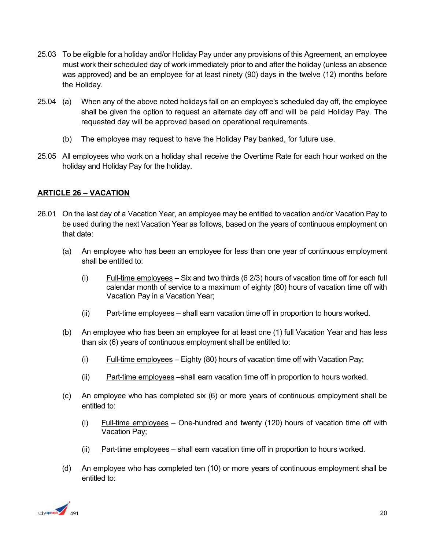- 25.03 To be eligible for a holiday and/or Holiday Pay under any provisions of this Agreement, an employee must work their scheduled day of work immediately prior to and after the holiday (unless an absence was approved) and be an employee for at least ninety (90) days in the twelve (12) months before the Holiday.
- 25.04 (a) When any of the above noted holidays fall on an employee's scheduled day off, the employee shall be given the option to request an alternate day off and will be paid Holiday Pay. The requested day will be approved based on operational requirements.
	- (b) The employee may request to have the Holiday Pay banked, for future use.
- 25.05 All employees who work on a holiday shall receive the Overtime Rate for each hour worked on the holiday and Holiday Pay for the holiday.

#### <span id="page-19-0"></span>**ARTICLE 26 – VACATION**

- 26.01 On the last day of a Vacation Year, an employee may be entitled to vacation and/or Vacation Pay to be used during the next Vacation Year as follows, based on the years of continuous employment on that date:
	- (a) An employee who has been an employee for less than one year of continuous employment shall be entitled to:
		- $(i)$  Full-time employees Six and two thirds  $(6\ 2/3)$  hours of vacation time off for each full calendar month of service to a maximum of eighty (80) hours of vacation time off with Vacation Pay in a Vacation Year;
		- (ii) Part-time employees shall earn vacation time off in proportion to hours worked.
	- (b) An employee who has been an employee for at least one (1) full Vacation Year and has less than six (6) years of continuous employment shall be entitled to:
		- $(i)$  Full-time employees Eighty (80) hours of vacation time off with Vacation Pay;
		- (ii) Part-time employees –shall earn vacation time off in proportion to hours worked.
	- (c) An employee who has completed six (6) or more years of continuous employment shall be entitled to:
		- (i) Full-time employees One-hundred and twenty (120) hours of vacation time off with Vacation Pay;
		- (ii) Part-time employees  $-$  shall earn vacation time off in proportion to hours worked.
	- (d) An employee who has completed ten (10) or more years of continuous employment shall be entitled to:

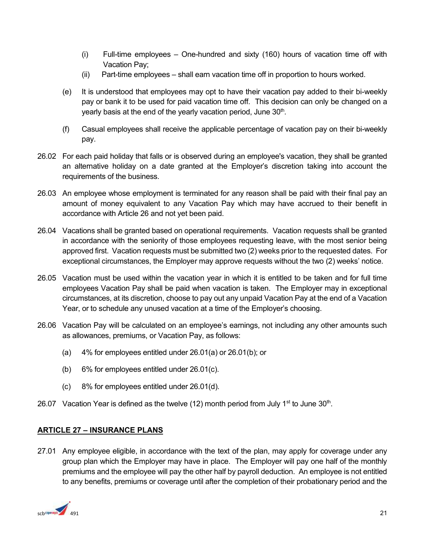- (i) Full-time employees One-hundred and sixty (160) hours of vacation time off with Vacation Pay;
- (ii) Part-time employees shall earn vacation time off in proportion to hours worked.
- (e) It is understood that employees may opt to have their vacation pay added to their bi-weekly pay or bank it to be used for paid vacation time off. This decision can only be changed on a yearly basis at the end of the yearly vacation period, June  $30<sup>th</sup>$ .
- (f) Casual employees shall receive the applicable percentage of vacation pay on their bi-weekly pay.
- 26.02 For each paid holiday that falls or is observed during an employee's vacation, they shall be granted an alternative holiday on a date granted at the Employer's discretion taking into account the requirements of the business.
- 26.03 An employee whose employment is terminated for any reason shall be paid with their final pay an amount of money equivalent to any Vacation Pay which may have accrued to their benefit in accordance with Article 26 and not yet been paid.
- 26.04 Vacations shall be granted based on operational requirements. Vacation requests shall be granted in accordance with the seniority of those employees requesting leave, with the most senior being approved first. Vacation requests must be submitted two (2) weeks prior to the requested dates. For exceptional circumstances, the Employer may approve requests without the two (2) weeks' notice.
- 26.05 Vacation must be used within the vacation year in which it is entitled to be taken and for full time employees Vacation Pay shall be paid when vacation is taken. The Employer may in exceptional circumstances, at its discretion, choose to pay out any unpaid Vacation Pay at the end of a Vacation Year, or to schedule any unused vacation at a time of the Employer's choosing.
- 26.06 Vacation Pay will be calculated on an employee's earnings, not including any other amounts such as allowances, premiums, or Vacation Pay, as follows:
	- (a) 4% for employees entitled under 26.01(a) or 26.01(b); or
	- (b) 6% for employees entitled under 26.01(c).
	- (c) 8% for employees entitled under 26.01(d).
- 26.07 Vacation Year is defined as the twelve (12) month period from July 1<sup>st</sup> to June 30<sup>th</sup>.

#### <span id="page-20-0"></span>**ARTICLE 27 – INSURANCE PLANS**

27.01 Any employee eligible, in accordance with the text of the plan, may apply for coverage under any group plan which the Employer may have in place. The Employer will pay one half of the monthly premiums and the employee will pay the other half by payroll deduction. An employee is not entitled to any benefits, premiums or coverage until after the completion of their probationary period and the

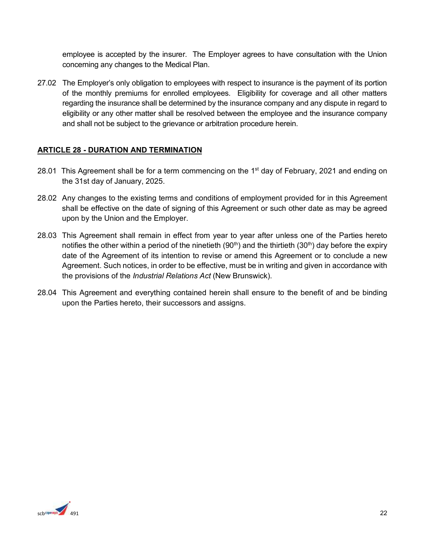employee is accepted by the insurer. The Employer agrees to have consultation with the Union concerning any changes to the Medical Plan.

27.02 The Employer's only obligation to employees with respect to insurance is the payment of its portion of the monthly premiums for enrolled employees. Eligibility for coverage and all other matters regarding the insurance shall be determined by the insurance company and any dispute in regard to eligibility or any other matter shall be resolved between the employee and the insurance company and shall not be subject to the grievance or arbitration procedure herein.

#### **ARTICLE 28 - DURATION AND TERMINATION**

- 28.01 This Agreement shall be for a term commencing on the  $1<sup>st</sup>$  day of February, 2021 and ending on the 31st day of January, 2025.
- 28.02 Any changes to the existing terms and conditions of employment provided for in this Agreement shall be effective on the date of signing of this Agreement or such other date as may be agreed upon by the Union and the Employer.
- 28.03 This Agreement shall remain in effect from year to year after unless one of the Parties hereto notifies the other within a period of the ninetieth (90<sup>th</sup>) and the thirtieth (30<sup>th</sup>) day before the expiry date of the Agreement of its intention to revise or amend this Agreement or to conclude a new Agreement. Such notices, in order to be effective, must be in writing and given in accordance with the provisions of the *Industrial Relations Act* (New Brunswick).
- 28.04 This Agreement and everything contained herein shall ensure to the benefit of and be binding upon the Parties hereto, their successors and assigns.

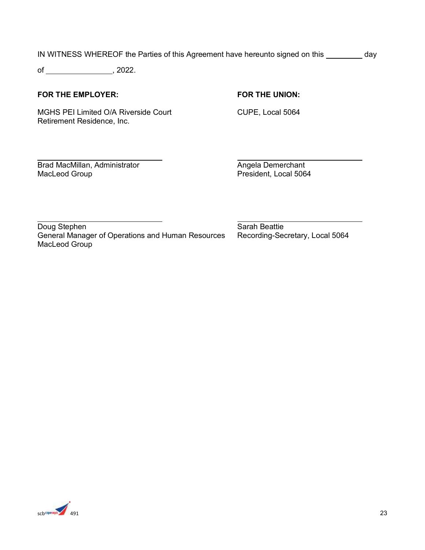IN WITNESS WHEREOF the Parties of this Agreement have hereunto signed on this \_\_\_\_\_\_\_\_\_ day

of , 2022.

#### **FOR THE EMPLOYER: FOR THE UNION:**

MGHS PEI Limited O/A Riverside Court CUPE, Local 5064 Retirement Residence, Inc.

 $\overline{a}$ Brad MacMillan, Administrator Angela Demerchant MacLeod Group **President, Local 5064** 

 $\overline{a}$ Doug Stephen Sarah Beattie General Manager of Operations and Human Resources Recording-Secretary, Local 5064 MacLeod Group